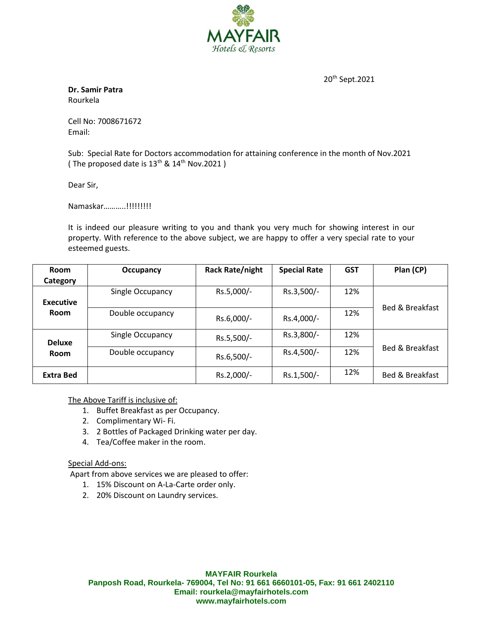

20th Sept.2021

**Dr. Samir Patra** Rourkela

Cell No: 7008671672 Email:

Sub: Special Rate for Doctors accommodation for attaining conference in the month of Nov.2021 ( The proposed date is  $13^{th}$  &  $14^{th}$  Nov.2021)

Dear Sir,

Namaskar………..!!!!!!!!!

It is indeed our pleasure writing to you and thank you very much for showing interest in our property. With reference to the above subject, we are happy to offer a very special rate to your esteemed guests.

| Room                         | Occupancy        | <b>Rack Rate/night</b> | <b>Special Rate</b> | <b>GST</b> | Plan (CP)                  |
|------------------------------|------------------|------------------------|---------------------|------------|----------------------------|
| Category                     |                  |                        |                     |            |                            |
|                              | Single Occupancy | Rs.5,000/-             | Rs.3,500/-          | 12%        |                            |
| <b>Executive</b>             |                  |                        |                     |            | <b>Bed &amp; Breakfast</b> |
| Room                         | Double occupancy | Rs.6,000/-             | Rs.4,000/-          | 12%        |                            |
| <b>Deluxe</b><br><b>Room</b> | Single Occupancy | Rs.5,500/-             | Rs.3,800/-          | 12%        | Bed & Breakfast            |
|                              | Double occupancy | Rs.6,500/-             | Rs.4,500/-          | 12%        |                            |
| <b>Extra Bed</b>             |                  | Rs.2,000/-             | Rs.1,500/-          | 12%        | Bed & Breakfast            |

The Above Tariff is inclusive of:

- 1. Buffet Breakfast as per Occupancy.
- 2. Complimentary Wi- Fi.
- 3. 2 Bottles of Packaged Drinking water per day.
- 4. Tea/Coffee maker in the room.

## Special Add-ons:

Apart from above services we are pleased to offer:

- 1. 15% Discount on A-La-Carte order only.
- 2. 20% Discount on Laundry services.